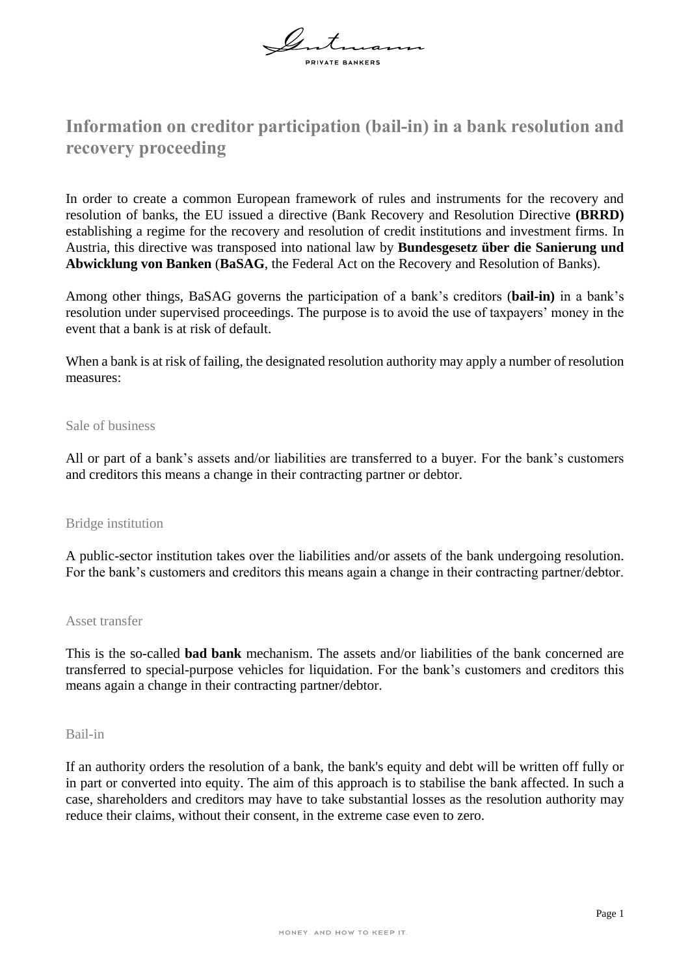

# **Information on creditor participation (bail-in) in a bank resolution and recovery proceeding**

In order to create a common European framework of rules and instruments for the recovery and resolution of banks, the EU issued a directive (Bank Recovery and Resolution Directive **(BRRD)** establishing a regime for the recovery and resolution of credit institutions and investment firms. In Austria, this directive was transposed into national law by **Bundesgesetz über die Sanierung und Abwicklung von Banken** (**BaSAG**, the Federal Act on the Recovery and Resolution of Banks).

Among other things, BaSAG governs the participation of a bank's creditors (**bail-in)** in a bank's resolution under supervised proceedings. The purpose is to avoid the use of taxpayers' money in the event that a bank is at risk of default.

When a bank is at risk of failing, the designated resolution authority may apply a number of resolution measures:

#### Sale of business

All or part of a bank's assets and/or liabilities are transferred to a buyer. For the bank's customers and creditors this means a change in their contracting partner or debtor.

### Bridge institution

A public-sector institution takes over the liabilities and/or assets of the bank undergoing resolution. For the bank's customers and creditors this means again a change in their contracting partner/debtor.

#### Asset transfer

This is the so-called **bad bank** mechanism. The assets and/or liabilities of the bank concerned are transferred to special-purpose vehicles for liquidation. For the bank's customers and creditors this means again a change in their contracting partner/debtor.

#### Bail-in

If an authority orders the resolution of a bank, the bank's equity and debt will be written off fully or in part or converted into equity. The aim of this approach is to stabilise the bank affected. In such a case, shareholders and creditors may have to take substantial losses as the resolution authority may reduce their claims, without their consent, in the extreme case even to zero.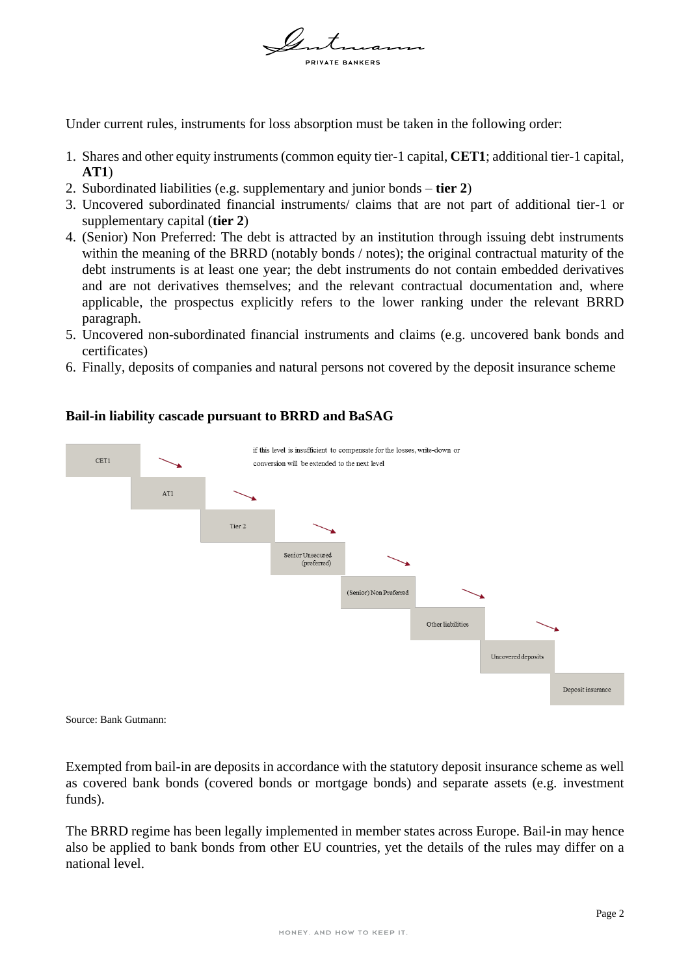

Under current rules, instruments for loss absorption must be taken in the following order:

- 1. Shares and other equity instruments (common equity tier-1 capital, **CET1**; additional tier-1 capital, **AT1**)
- 2. Subordinated liabilities (e.g. supplementary and junior bonds **tier 2**)
- 3. Uncovered subordinated financial instruments/ claims that are not part of additional tier-1 or supplementary capital (**tier 2**)
- 4. (Senior) Non Preferred: The debt is attracted by an institution through issuing debt instruments within the meaning of the BRRD (notably bonds / notes); the original contractual maturity of the debt instruments is at least one year; the debt instruments do not contain embedded derivatives and are not derivatives themselves; and the relevant contractual documentation and, where applicable, the prospectus explicitly refers to the lower ranking under the relevant BRRD paragraph.
- 5. Uncovered non-subordinated financial instruments and claims (e.g. uncovered bank bonds and certificates)
- 6. Finally, deposits of companies and natural persons not covered by the deposit insurance scheme



## **Bail-in liability cascade pursuant to BRRD and BaSAG**

Source: Bank Gutmann:

Exempted from bail-in are deposits in accordance with the statutory deposit insurance scheme as well as covered bank bonds (covered bonds or mortgage bonds) and separate assets (e.g. investment funds).

The BRRD regime has been legally implemented in member states across Europe. Bail-in may hence also be applied to bank bonds from other EU countries, yet the details of the rules may differ on a national level.